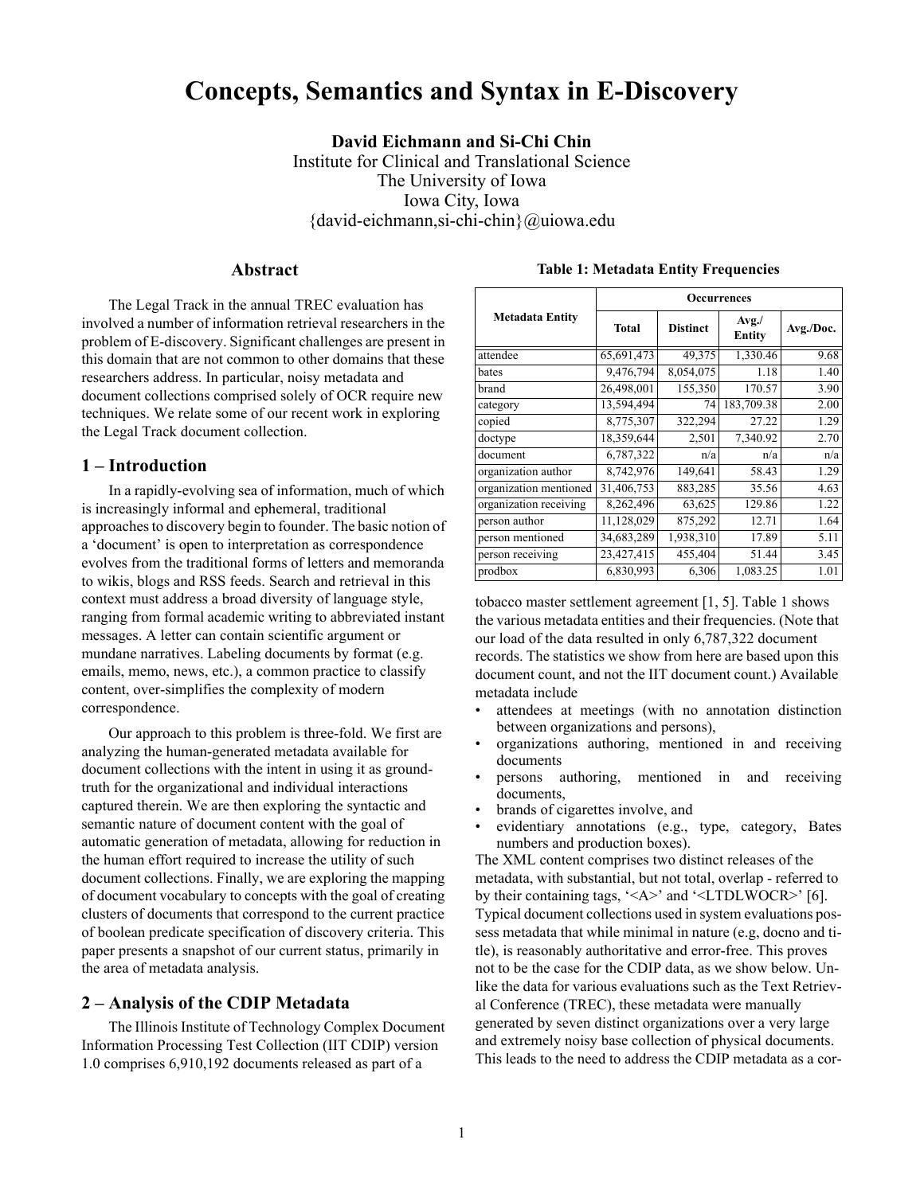# **Concepts, Semantics and Syntax in E-Discovery**

**David Eichmann and Si-Chi Chin** Institute for Clinical and Translational Science The University of Iowa Iowa City, Iowa {david-eichmann,si-chi-chin}@uiowa.edu

### **Abstract**

The Legal Track in the annual TREC evaluation has involved a number of information retrieval researchers in the problem of E-discovery. Significant challenges are present in this domain that are not common to other domains that these researchers address. In particular, noisy metadata and document collections comprised solely of OCR require new techniques. We relate some of our recent work in exploring the Legal Track document collection.

### **1 – Introduction**

In a rapidly-evolving sea of information, much of which is increasingly informal and ephemeral, traditional approaches to discovery begin to founder. The basic notion of a 'document' is open to interpretation as correspondence evolves from the traditional forms of letters and memoranda to wikis, blogs and RSS feeds. Search and retrieval in this context must address a broad diversity of language style, ranging from formal academic writing to abbreviated instant messages. A letter can contain scientific argument or mundane narratives. Labeling documents by format (e.g. emails, memo, news, etc.), a common practice to classify content, over-simplifies the complexity of modern correspondence.

Our approach to this problem is three-fold. We first are analyzing the human-generated metadata available for document collections with the intent in using it as groundtruth for the organizational and individual interactions captured therein. We are then exploring the syntactic and semantic nature of document content with the goal of automatic generation of metadata, allowing for reduction in the human effort required to increase the utility of such document collections. Finally, we are exploring the mapping of document vocabulary to concepts with the goal of creating clusters of documents that correspond to the current practice of boolean predicate specification of discovery criteria. This paper presents a snapshot of our current status, primarily in the area of metadata analysis.

# **2 – Analysis of the CDIP Metadata**

The Illinois Institute of Technology Complex Document Information Processing Test Collection (IIT CDIP) version 1.0 comprises 6,910,192 documents released as part of a

<span id="page-0-0"></span>

|                        | Occurrences  |                 |                         |           |
|------------------------|--------------|-----------------|-------------------------|-----------|
| <b>Metadata Entity</b> | <b>Total</b> | <b>Distinct</b> | Avg. /<br><b>Entity</b> | Avg./Doc. |
| attendee               | 65,691,473   | 49,375          | 1,330.46                | 9.68      |
| bates                  | 9,476,794    | 8,054,075       | 1.18                    | 1.40      |
| brand                  | 26,498,001   | 155,350         | 170.57                  | 3.90      |
| category               | 13,594,494   | 74              | 183,709.38              | 2.00      |
| copied                 | 8,775,307    | 322,294         | 27.22                   | 1.29      |
| doctype                | 18,359,644   | 2,501           | 7,340.92                | 2.70      |
| document               | 6,787,322    | n/a             | n/a                     | n/a       |
| organization author    | 8,742,976    | 149,641         | 58.43                   | 1.29      |
| organization mentioned | 31,406,753   | 883,285         | 35.56                   | 4.63      |
| organization receiving | 8,262,496    | 63,625          | 129.86                  | 1.22      |
| person author          | 11,128,029   | 875,292         | 12.71                   | 1.64      |
| person mentioned       | 34,683,289   | 1,938,310       | 17.89                   | 5.11      |
| person receiving       | 23,427,415   | 455,404         | 51.44                   | 3.45      |
| prodbox                | 6,830,993    | 6,306           | 1,083.25                | 1.01      |

#### **Table 1: Metadata Entity Frequencies**

tobacco master settlement agreement [[1,](#page-7-0) [5\]](#page-7-1). Table [1](#page-0-0) shows the various metadata entities and their frequencies. (Note that our load of the data resulted in only 6,787,322 document records. The statistics we show from here are based upon this document count, and not the IIT document count.) Available metadata include

- attendees at meetings (with no annotation distinction between organizations and persons),
- organizations authoring, mentioned in and receiving documents
- persons authoring, mentioned in and receiving documents,
- brands of cigarettes involve, and
- evidentiary annotations (e.g., type, category, Bates numbers and production boxes).

The XML content comprises two distinct releases of the metadata, with substantial, but not total, overlap - referred to by their containing tags, '<A>' and '<LTDLWOCR>' [[6\]](#page-7-2). Typical document collections used in system evaluations possess metadata that while minimal in nature (e.g, docno and title), is reasonably authoritative and error-free. This proves not to be the case for the CDIP data, as we show below. Unlike the data for various evaluations such as the Text Retrieval Conference (TREC), these metadata were manually generated by seven distinct organizations over a very large and extremely noisy base collection of physical documents. This leads to the need to address the CDIP metadata as a cor-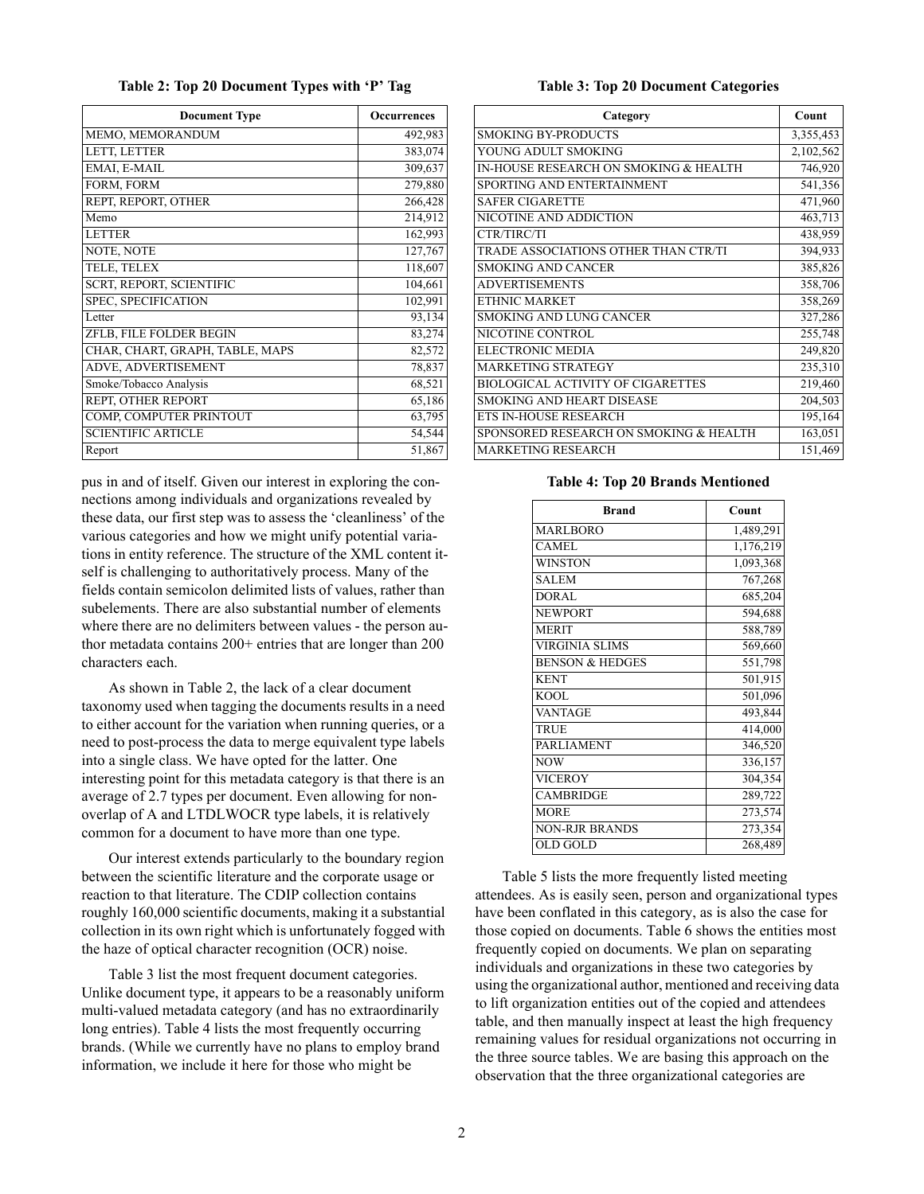|  | Table 2: Top 20 Document Types with 'P' Tag |  |
|--|---------------------------------------------|--|
|--|---------------------------------------------|--|

<span id="page-1-0"></span>

| <b>Document Type</b>            | Occurrences |
|---------------------------------|-------------|
| MEMO, MEMORANDUM                | 492,983     |
| LETT, LETTER                    | 383,074     |
| EMAI, E-MAIL                    | 309,637     |
| FORM, FORM                      | 279,880     |
| REPT, REPORT, OTHER             | 266,428     |
| Memo                            | 214,912     |
| <b>LETTER</b>                   | 162,993     |
| NOTE, NOTE                      | 127,767     |
| TELE, TELEX                     | 118,607     |
| <b>SCRT, REPORT, SCIENTIFIC</b> | 104,661     |
| SPEC, SPECIFICATION             | 102,991     |
| Letter                          | 93,134      |
| ZFLB, FILE FOLDER BEGIN         | 83,274      |
| CHAR, CHART, GRAPH, TABLE, MAPS | 82,572      |
| ADVE, ADVERTISEMENT             | 78,837      |
| Smoke/Tobacco Analysis          | 68,521      |
| REPT, OTHER REPORT              | 65,186      |
| COMP, COMPUTER PRINTOUT         | 63,795      |
| <b>SCIENTIFIC ARTICLE</b>       | 54,544      |
| Report                          | 51,867      |

pus in and of itself. Given our interest in exploring the connections among individuals and organizations revealed by these data, our first step was to assess the 'cleanliness' of the various categories and how we might unify potential variations in entity reference. The structure of the XML content itself is challenging to authoritatively process. Many of the fields contain semicolon delimited lists of values, rather than subelements. There are also substantial number of elements where there are no delimiters between values - the person author metadata contains 200+ entries that are longer than 200 characters each.

As shown in Table [2,](#page-1-0) the lack of a clear document taxonomy used when tagging the documents results in a need to either account for the variation when running queries, or a need to post-process the data to merge equivalent type labels into a single class. We have opted for the latter. One interesting point for this metadata category is that there is an average of 2.7 types per document. Even allowing for nonoverlap of A and LTDLWOCR type labels, it is relatively common for a document to have more than one type.

Our interest extends particularly to the boundary region between the scientific literature and the corporate usage or reaction to that literature. The CDIP collection contains roughly 160,000 scientific documents, making it a substantial collection in its own right which is unfortunately fogged with the haze of optical character recognition (OCR) noise.

Table [3](#page-1-1) list the most frequent document categories. Unlike document type, it appears to be a reasonably uniform multi-valued metadata category (and has no extraordinarily long entries). Table [4](#page-1-2) lists the most frequently occurring brands. (While we currently have no plans to employ brand information, we include it here for those who might be

#### **Table 3: Top 20 Document Categories**

<span id="page-1-1"></span>

| Category                                 | Count     |
|------------------------------------------|-----------|
| <b>SMOKING BY-PRODUCTS</b>               | 3,355,453 |
| YOUNG ADULT SMOKING                      | 2,102,562 |
| IN-HOUSE RESEARCH ON SMOKING & HEALTH    | 746,920   |
| SPORTING AND ENTERTAINMENT               | 541,356   |
| <b>SAFER CIGARETTE</b>                   | 471,960   |
| NICOTINE AND ADDICTION                   | 463,713   |
| CTR/TIRC/TI                              | 438,959   |
| TRADE ASSOCIATIONS OTHER THAN CTR/TI     | 394,933   |
| <b>SMOKING AND CANCER</b>                | 385,826   |
| <b>ADVERTISEMENTS</b>                    | 358,706   |
| ETHNIC MARKET                            | 358,269   |
| SMOKING AND LUNG CANCER                  | 327,286   |
| NICOTINE CONTROL                         | 255,748   |
| <b>ELECTRONIC MEDIA</b>                  | 249,820   |
| MARKETING STRATEGY                       | 235,310   |
| <b>BIOLOGICAL ACTIVITY OF CIGARETTES</b> | 219,460   |
| <b>SMOKING AND HEART DISEASE</b>         | 204,503   |
| ETS IN-HOUSE RESEARCH                    | 195,164   |
| SPONSORED RESEARCH ON SMOKING & HEALTH   | 163,051   |
| <b>MARKETING RESEARCH</b>                | 151,469   |

**Table 4: Top 20 Brands Mentioned**

<span id="page-1-2"></span>

| <b>Brand</b>               | Count     |
|----------------------------|-----------|
| <b>MARLBORO</b>            | 1,489,291 |
| CAMEL                      | 1,176,219 |
| <b>WINSTON</b>             | 1,093,368 |
| <b>SALEM</b>               | 767,268   |
| DORAL                      | 685,204   |
| <b>NEWPORT</b>             | 594,688   |
| <b>MERIT</b>               | 588,789   |
| <b>VIRGINIA SLIMS</b>      | 569,660   |
| <b>BENSON &amp; HEDGES</b> | 551,798   |
| <b>KENT</b>                | 501,915   |
| <b>KOOL</b>                | 501,096   |
| <b>VANTAGE</b>             | 493,844   |
| <b>TRUE</b>                | 414,000   |
| <b>PARLIAMENT</b>          | 346,520   |
| <b>NOW</b>                 | 336,157   |
| <b>VICEROY</b>             | 304,354   |
| <b>CAMBRIDGE</b>           | 289,722   |
| <b>MORE</b>                | 273,574   |
| <b>NON-RJR BRANDS</b>      | 273,354   |
| <b>OLD GOLD</b>            | 268,489   |

Table [5](#page-2-0) lists the more frequently listed meeting attendees. As is easily seen, person and organizational types have been conflated in this category, as is also the case for those copied on documents. Table [6](#page-2-1) shows the entities most frequently copied on documents. We plan on separating individuals and organizations in these two categories by using the organizational author, mentioned and receiving data to lift organization entities out of the copied and attendees table, and then manually inspect at least the high frequency remaining values for residual organizations not occurring in the three source tables. We are basing this approach on the observation that the three organizational categories are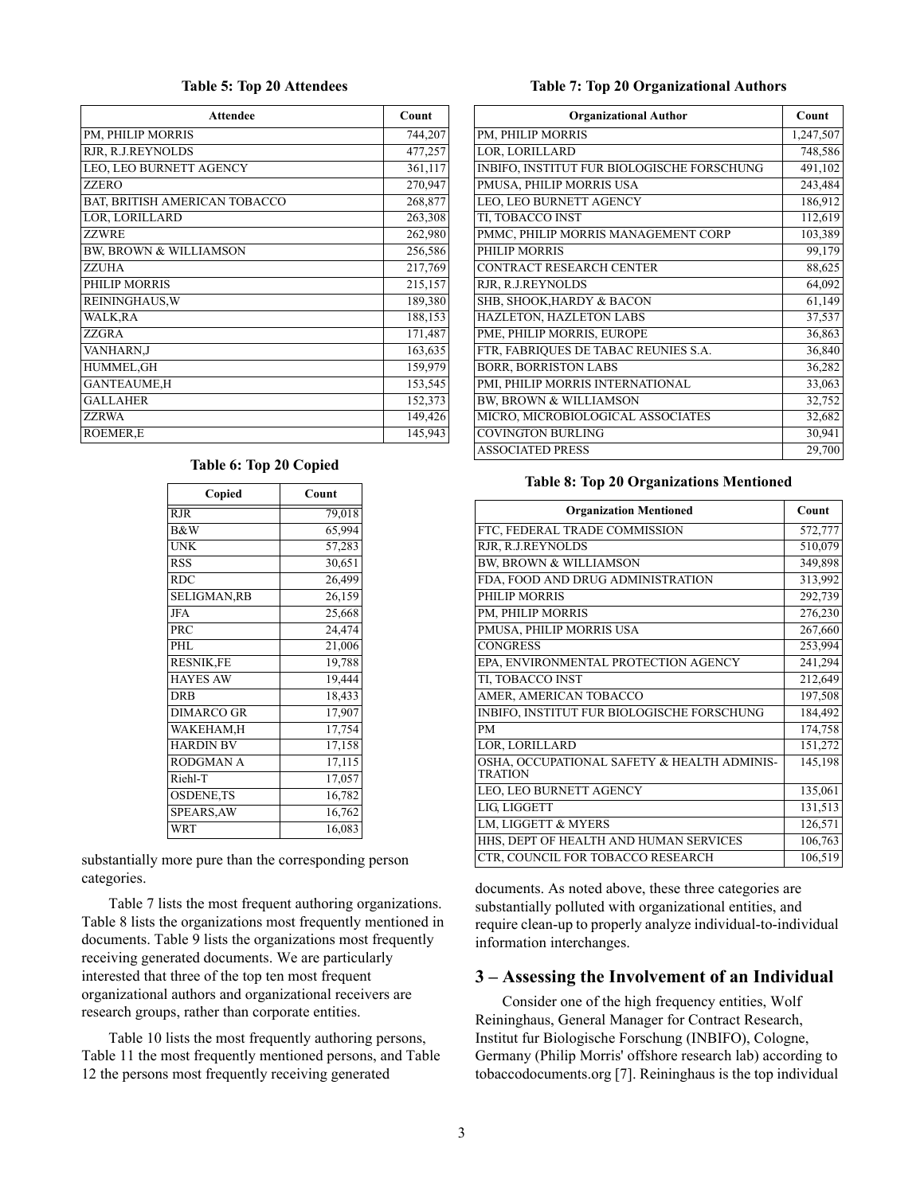#### **Table 5: Top 20 Attendees**

<span id="page-2-0"></span>

| <b>Attendee</b>                   | Count   |
|-----------------------------------|---------|
| PM, PHILIP MORRIS                 | 744,207 |
| RJR, R.J.REYNOLDS                 | 477,257 |
| LEO, LEO BURNETT AGENCY           | 361,117 |
| <b>ZZERO</b>                      | 270,947 |
| BAT, BRITISH AMERICAN TOBACCO     | 268,877 |
| LOR, LORILLARD                    | 263,308 |
| <b>ZZWRE</b>                      | 262,980 |
| <b>BW, BROWN &amp; WILLIAMSON</b> | 256,586 |
| <b>ZZUHA</b>                      | 217,769 |
| PHILIP MORRIS                     | 215,157 |
| <b>REININGHAUS, W</b>             | 189,380 |
| WALK, RA                          | 188,153 |
| <b>ZZGRA</b>                      | 171,487 |
| <b>VANHARN,J</b>                  | 163,635 |
| HUMMEL, GH                        | 159,979 |
| <b>GANTEAUME,H</b>                | 153,545 |
| <b>GALLAHER</b>                   | 152,373 |
| <b>ZZRWA</b>                      | 149,426 |
| <b>ROEMER,E</b>                   | 145,943 |

#### **Table 6: Top 20 Copied**

<span id="page-2-1"></span>

| Copied             | Count  |
|--------------------|--------|
| $R$ J $R$          | 79,018 |
| B&W                | 65,994 |
| <b>UNK</b>         | 57,283 |
| <b>RSS</b>         | 30,651 |
| <b>RDC</b>         | 26,499 |
| <b>SELIGMAN,RB</b> | 26,159 |
| <b>JFA</b>         | 25,668 |
| PRC                | 24,474 |
| PHL                | 21,006 |
| RESNIK,FE          | 19,788 |
| <b>HAYES AW</b>    | 19,444 |
| <b>DRB</b>         | 18,433 |
| DIMARCO GR         | 17,907 |
| WAKEHAM.H          | 17,754 |
| <b>HARDIN BV</b>   | 17,158 |
| <b>RODGMAN A</b>   | 17,115 |
| Riehl-T            | 17,057 |
| <b>OSDENE,TS</b>   | 16,782 |
| <b>SPEARS, AW</b>  | 16,762 |
| <b>WRT</b>         | 16,083 |

substantially more pure than the corresponding person categories.

Table [7](#page-2-2) lists the most frequent authoring organizations. Table [8](#page-2-3) lists the organizations most frequently mentioned in documents. Table [9](#page-3-1) lists the organizations most frequently receiving generated documents. We are particularly interested that three of the top ten most frequent organizational authors and organizational receivers are research groups, rather than corporate entities.

Table [10](#page-3-2) lists the most frequently authoring persons, Table [11](#page-3-3) the most frequently mentioned persons, and Table [12](#page-3-0) the persons most frequently receiving generated

#### **Table 7: Top 20 Organizational Authors**

<span id="page-2-2"></span>

| <b>Organizational Author</b>               | Count     |
|--------------------------------------------|-----------|
| PM, PHILIP MORRIS                          | 1,247,507 |
| LOR, LORILLARD                             | 748,586   |
| INBIFO, INSTITUT FUR BIOLOGISCHE FORSCHUNG | 491,102   |
| PMUSA, PHILIP MORRIS USA                   | 243,484   |
| <b>LEO, LEO BURNETT AGENCY</b>             | 186,912   |
| TI, TOBACCO INST                           | 112,619   |
| PMMC, PHILIP MORRIS MANAGEMENT CORP        | 103,389   |
| PHILIP MORRIS                              | 99,179    |
| <b>CONTRACT RESEARCH CENTER</b>            | 88,625    |
| RJR, R.J.REYNOLDS                          | 64,092    |
| SHB, SHOOK, HARDY & BACON                  | 61,149    |
| HAZLETON, HAZLETON LABS                    | 37,537    |
| PME, PHILIP MORRIS, EUROPE                 | 36,863    |
| FTR, FABRIQUES DE TABAC REUNIES S.A.       | 36,840    |
| <b>BORR, BORRISTON LABS</b>                | 36,282    |
| PMI, PHILIP MORRIS INTERNATIONAL           | 33,063    |
| <b>BW, BROWN &amp; WILLIAMSON</b>          | 32,752    |
| MICRO, MICROBIOLOGICAL ASSOCIATES          | 32,682    |
| <b>COVINGTON BURLING</b>                   | 30,941    |
| <b>ASSOCIATED PRESS</b>                    | 29,700    |

#### **Table 8: Top 20 Organizations Mentioned**

<span id="page-2-3"></span>

| <b>Organization Mentioned</b>                                 | Count   |
|---------------------------------------------------------------|---------|
| FTC, FEDERAL TRADE COMMISSION                                 | 572,777 |
| RJR, R.J.REYNOLDS                                             | 510,079 |
| <b>BW, BROWN &amp; WILLIAMSON</b>                             | 349,898 |
| FDA, FOOD AND DRUG ADMINISTRATION                             | 313,992 |
| PHILIP MORRIS                                                 | 292,739 |
| PM, PHILIP MORRIS                                             | 276,230 |
| PMUSA, PHILIP MORRIS USA                                      | 267,660 |
| <b>CONGRESS</b>                                               | 253,994 |
| EPA, ENVIRONMENTAL PROTECTION AGENCY                          | 241,294 |
| TI, TOBACCO INST                                              | 212,649 |
| AMER, AMERICAN TOBACCO                                        | 197,508 |
| INBIFO, INSTITUT FUR BIOLOGISCHE FORSCHUNG                    | 184,492 |
| PM                                                            | 174,758 |
| LOR, LORILLARD                                                | 151,272 |
| OSHA, OCCUPATIONAL SAFETY & HEALTH ADMINIS-<br><b>TRATION</b> | 145,198 |
| LEO, LEO BURNETT AGENCY                                       | 135,061 |
| <b>LIG LIGGETT</b>                                            | 131,513 |
| LM, LIGGETT & MYERS                                           | 126,571 |
| HHS, DEPT OF HEALTH AND HUMAN SERVICES                        | 106,763 |
| CTR, COUNCIL FOR TOBACCO RESEARCH                             | 106,519 |

documents. As noted above, these three categories are substantially polluted with organizational entities, and require clean-up to properly analyze individual-to-individual information interchanges.

### **3 – Assessing the Involvement of an Individual**

Consider one of the high frequency entities, Wolf Reininghaus, General Manager for Contract Research, Institut fur Biologische Forschung (INBIFO), Cologne, Germany (Philip Morris' offshore research lab) according to tobaccodocuments.org [[7\]](#page-7-3). Reininghaus is the top individual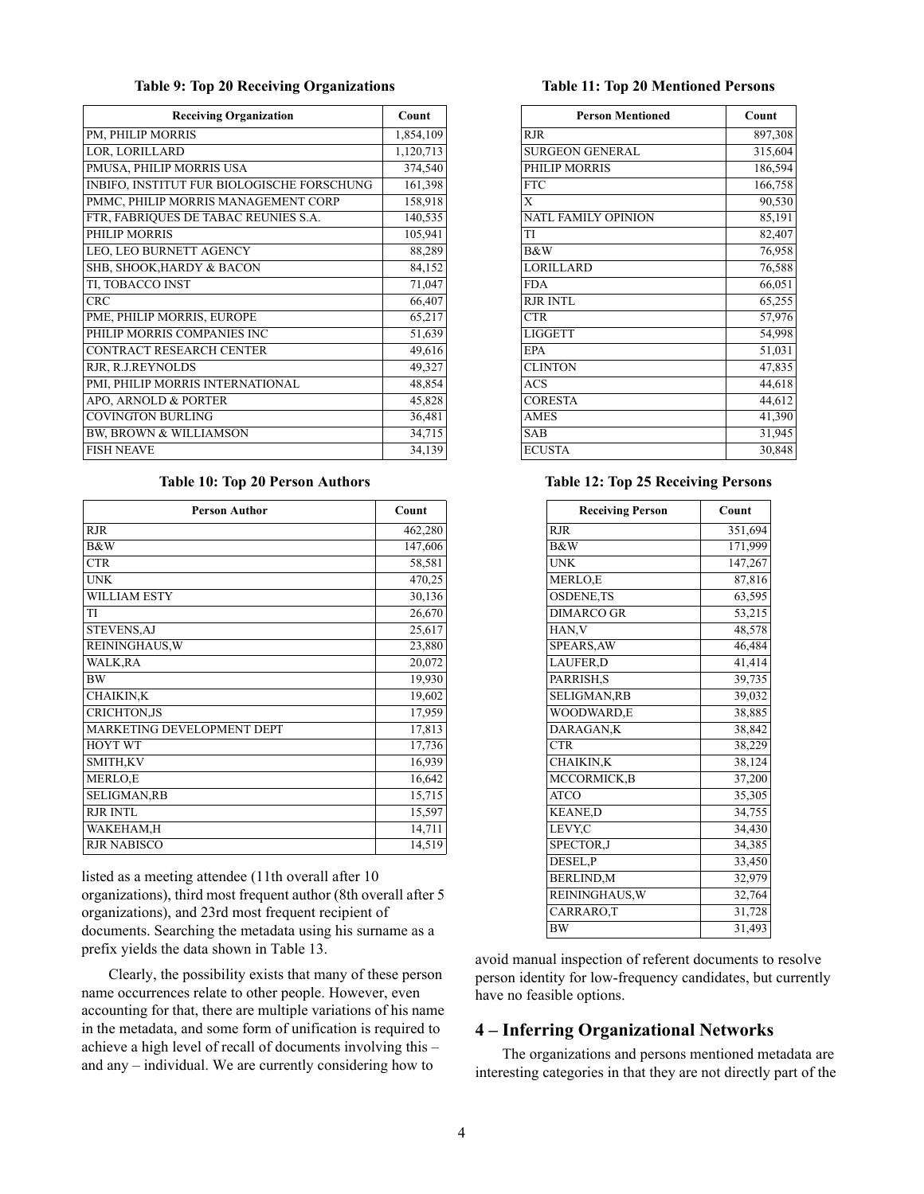#### **Table 9: Top 20 Receiving Organizations**

<span id="page-3-1"></span>

| <b>Receiving Organization</b>              | Count     |
|--------------------------------------------|-----------|
| PM, PHILIP MORRIS                          | 1,854,109 |
| LOR, LORILLARD                             | 1,120,713 |
| PMUSA, PHILIP MORRIS USA                   | 374,540   |
| INBIFO, INSTITUT FUR BIOLOGISCHE FORSCHUNG | 161,398   |
| PMMC, PHILIP MORRIS MANAGEMENT CORP        | 158,918   |
| FTR, FABRIQUES DE TABAC REUNIES S.A.       | 140,535   |
| PHILIP MORRIS                              | 105,941   |
| LEO, LEO BURNETT AGENCY                    | 88,289    |
| SHB, SHOOK, HARDY & BACON                  | 84,152    |
| TI, TOBACCO INST                           | 71,047    |
| <b>CRC</b>                                 | 66,407    |
| PME, PHILIP MORRIS, EUROPE                 | 65,217    |
| PHILIP MORRIS COMPANIES INC                | 51,639    |
| <b>CONTRACT RESEARCH CENTER</b>            | 49,616    |
| RJR, R.J.REYNOLDS                          | 49,327    |
| PMI, PHILIP MORRIS INTERNATIONAL           | 48,854    |
| APO, ARNOLD & PORTER                       | 45,828    |
| <b>COVINGTON BURLING</b>                   | 36,481    |
| <b>BW, BROWN &amp; WILLIAMSON</b>          | 34,715    |
| <b>FISH NEAVE</b>                          | 34,139    |

#### **Table 10: Top 20 Person Authors**

<span id="page-3-2"></span>

| <b>Person Author</b>              | Count   |
|-----------------------------------|---------|
| <b>RJR</b>                        | 462,280 |
| <b>B&amp;W</b>                    | 147,606 |
| <b>CTR</b>                        | 58,581  |
| <b>UNK</b>                        | 470,25  |
| <b>WILLIAM ESTY</b>               | 30,136  |
| TI                                | 26,670  |
| STEVENS, AJ                       | 25,617  |
| <b>REININGHAUS, W</b>             | 23,880  |
| <b>WALK,RA</b>                    | 20,072  |
| <b>BW</b>                         | 19,930  |
| <b>CHAIKIN,K</b>                  | 19,602  |
| <b>CRICHTON.JS</b>                | 17,959  |
| <b>MARKETING DEVELOPMENT DEPT</b> | 17,813  |
| <b>HOYT WT</b>                    | 17,736  |
| <b>SMITH,KV</b>                   | 16,939  |
| MERLO,E                           | 16,642  |
| <b>SELIGMAN,RB</b>                | 15,715  |
| <b>RJR INTL</b>                   | 15,597  |
| WAKEHAM,H                         | 14,711  |
| <b>RJR NABISCO</b>                | 14,519  |

listed as a meeting attendee (11th overall after 10 organizations), third most frequent author (8th overall after 5 organizations), and 23rd most frequent recipient of documents. Searching the metadata using his surname as a prefix yields the data shown in Table [13.](#page-4-0)

Clearly, the possibility exists that many of these person name occurrences relate to other people. However, even accounting for that, there are multiple variations of his name in the metadata, and some form of unification is required to achieve a high level of recall of documents involving this – and any – individual. We are currently considering how to

#### **Table 11: Top 20 Mentioned Persons**

<span id="page-3-3"></span>

| <b>Person Mentioned</b>    | Count   |
|----------------------------|---------|
| R.JR                       | 897,308 |
| <b>SURGEON GENERAL</b>     | 315,604 |
| PHILIP MORRIS              | 186,594 |
| $\overline{\text{FTC}}$    | 166,758 |
| X                          | 90,530  |
| <b>NATL FAMILY OPINION</b> | 85,191  |
| TI                         | 82,407  |
| B&W                        | 76,958  |
| LORILLARD                  | 76,588  |
| <b>FDA</b>                 | 66,051  |
| <b>RJR INTL</b>            | 65,255  |
| <b>CTR</b>                 | 57,976  |
| <b>LIGGETT</b>             | 54,998  |
| <b>EPA</b>                 | 51,031  |
| <b>CLINTON</b>             | 47,835  |
| <b>ACS</b>                 | 44,618  |
| <b>CORESTA</b>             | 44,612  |
| <b>AMES</b>                | 41,390  |
| <b>SAB</b>                 | 31,945  |
| ECUSTA                     | 30,848  |

# <span id="page-3-0"></span>**Table 12: Top 25 Receiving Persons**

| <b>Receiving Person</b> | Count   |
|-------------------------|---------|
| <b>RJR</b>              | 351,694 |
| <b>B&amp;W</b>          | 171,999 |
| <b>UNK</b>              | 147,267 |
| MERLO,E                 | 87,816  |
| <b>OSDENE,TS</b>        | 63,595  |
| <b>DIMARCO GR</b>       | 53,215  |
| HAN, V                  | 48,578  |
| SPEARS, AW              | 46,484  |
| LAUFER,D                | 41,414  |
| PARRISH, S              | 39,735  |
| SELIGMAN, RB            | 39,032  |
| WOODWARD,E              | 38,885  |
| DARAGAN,K               | 38,842  |
| CTR                     | 38,229  |
| CHAIKIN, K              | 38,124  |
| MCCORMICK, B            | 37,200  |
| <b>ATCO</b>             | 35,305  |
| <b>KEANE,D</b>          | 34,755  |
| LEVY,C                  | 34,430  |
| SPECTOR, J              | 34,385  |
| DESEL, P                | 33,450  |
| <b>BERLIND,M</b>        | 32,979  |
| <b>REININGHAUS, W</b>   | 32,764  |
| CARRARO,T               | 31,728  |
| <b>BW</b>               | 31,493  |

avoid manual inspection of referent documents to resolve person identity for low-frequency candidates, but currently have no feasible options.

# **4 – Inferring Organizational Networks**

The organizations and persons mentioned metadata are interesting categories in that they are not directly part of the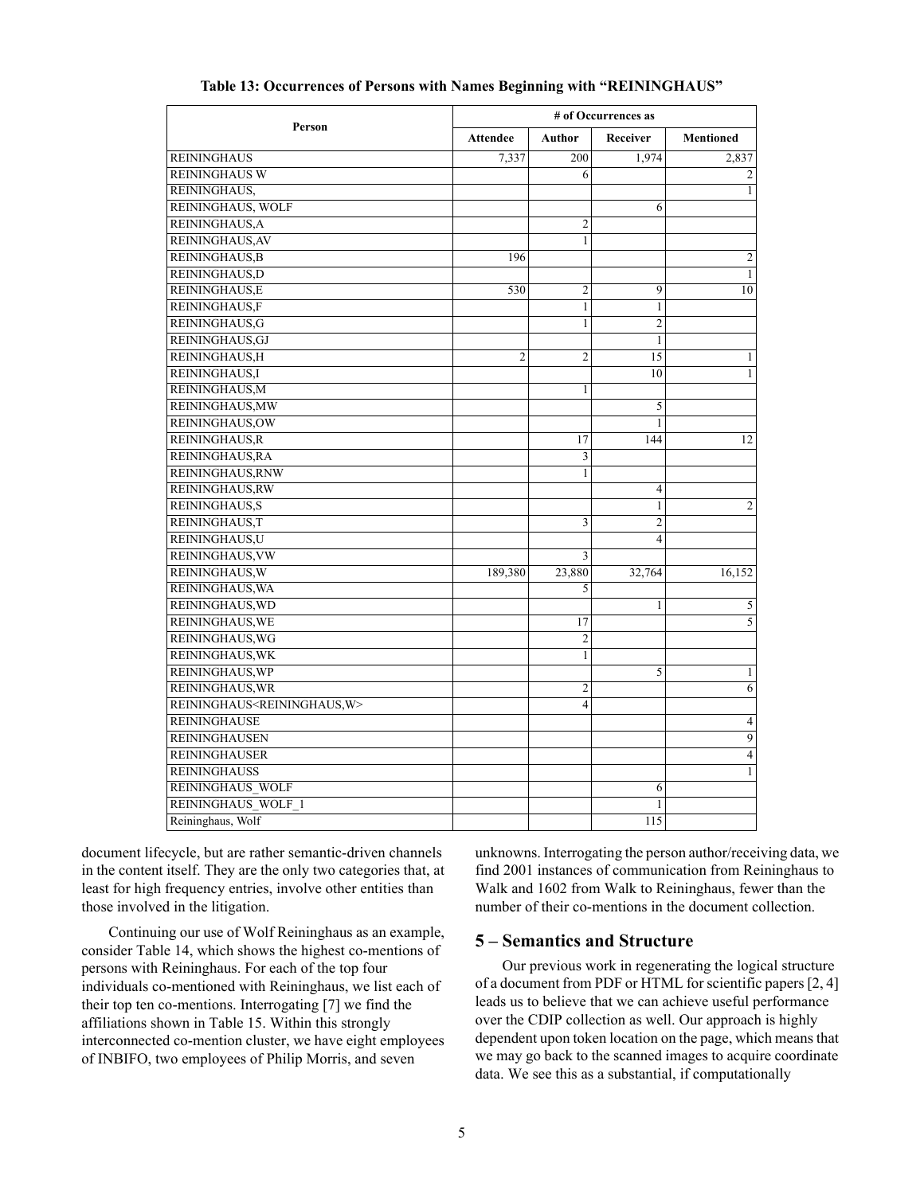<span id="page-4-0"></span>

|                                                | # of Occurrences as |                |                |                  |  |  |  |
|------------------------------------------------|---------------------|----------------|----------------|------------------|--|--|--|
| Person                                         | <b>Attendee</b>     | Author         | Receiver       | <b>Mentioned</b> |  |  |  |
| <b>REININGHAUS</b>                             | 7.337               | 200            | 1,974          | 2,837            |  |  |  |
| <b>REININGHAUS W</b>                           |                     | 6              |                | 2                |  |  |  |
| REININGHAUS,                                   |                     |                |                | $\mathbf{1}$     |  |  |  |
| REININGHAUS, WOLF                              |                     |                | 6              |                  |  |  |  |
| REININGHAUS.A                                  |                     | 2              |                |                  |  |  |  |
| REININGHAUS, AV                                |                     | $\mathbf{1}$   |                |                  |  |  |  |
| <b>REININGHAUS, B</b>                          | 196                 |                |                | $\overline{c}$   |  |  |  |
| REININGHAUS,D                                  |                     |                |                | $\mathbf{1}$     |  |  |  |
| REININGHAUS,E                                  | 530                 | $\overline{2}$ | 9              | 10               |  |  |  |
| REININGHAUS,F                                  |                     | $\mathbf{1}$   | 1              |                  |  |  |  |
| REININGHAUS, G                                 |                     | 1              | $\overline{2}$ |                  |  |  |  |
| REININGHAUS, GJ                                |                     |                | $\mathbf{1}$   |                  |  |  |  |
| REININGHAUS.H                                  | $\overline{2}$      | $\overline{2}$ | 15             | $\mathbf{1}$     |  |  |  |
| REININGHAUS,I                                  |                     |                | 10             | $\mathbf{1}$     |  |  |  |
| REININGHAUS, M                                 |                     | 1              |                |                  |  |  |  |
| REININGHAUS, MW                                |                     |                | 5              |                  |  |  |  |
| <b>REININGHAUS,OW</b>                          |                     |                | 1              |                  |  |  |  |
| REININGHAUS, R                                 |                     | 17             | 144            | 12               |  |  |  |
| REININGHAUS, RA                                |                     | $\overline{3}$ |                |                  |  |  |  |
| REININGHAUS, RNW                               |                     | $\mathbf{1}$   |                |                  |  |  |  |
| REININGHAUS, RW                                |                     |                | $\overline{4}$ |                  |  |  |  |
| <b>REININGHAUS,S</b>                           |                     |                | 1              | 2                |  |  |  |
| REININGHAUS,T                                  |                     | 3              | $\overline{2}$ |                  |  |  |  |
| REININGHAUS,U                                  |                     |                | $\overline{4}$ |                  |  |  |  |
| REININGHAUS, VW                                |                     | 3              |                |                  |  |  |  |
| REININGHAUS, W                                 | 189,380             | 23,880         | 32,764         | 16,152           |  |  |  |
| REININGHAUS, WA                                |                     | 5              |                |                  |  |  |  |
| REININGHAUS, WD                                |                     |                | 1              | 5                |  |  |  |
| REININGHAUS, WE                                |                     | 17             |                | 5                |  |  |  |
| REININGHAUS, WG                                |                     | $\overline{2}$ |                |                  |  |  |  |
| REININGHAUS, WK                                |                     | 1              |                |                  |  |  |  |
| REININGHAUS, WP                                |                     |                | 5              | $\mathbf{1}$     |  |  |  |
| REININGHAUS, WR                                |                     | $\overline{c}$ |                | 6                |  |  |  |
| REININGHAUS <reininghaus, w=""></reininghaus,> |                     | $\overline{4}$ |                |                  |  |  |  |
| <b>REININGHAUSE</b>                            |                     |                |                | $\overline{4}$   |  |  |  |
| <b>REININGHAUSEN</b>                           |                     |                |                | $\overline{9}$   |  |  |  |
| <b>REININGHAUSER</b>                           |                     |                |                | $\overline{4}$   |  |  |  |
| <b>REININGHAUSS</b>                            |                     |                |                | 1                |  |  |  |
| <b>REININGHAUS WOLF</b>                        |                     |                | 6              |                  |  |  |  |
| <b>REININGHAUS WOLF 1</b>                      |                     |                | 1              |                  |  |  |  |
| Reininghaus, Wolf                              |                     |                | 115            |                  |  |  |  |

### **Table 13: Occurrences of Persons with Names Beginning with "REININGHAUS"**

document lifecycle, but are rather semantic-driven channels in the content itself. They are the only two categories that, at least for high frequency entries, involve other entities than those involved in the litigation.

Continuing our use of Wolf Reininghaus as an example, consider Table [14,](#page-5-0) which shows the highest co-mentions of persons with Reininghaus. For each of the top four individuals co-mentioned with Reininghaus, we list each of their top ten co-mentions. Interrogating [\[7](#page-7-3)] we find the affiliations shown in Table [15.](#page-5-1) Within this strongly interconnected co-mention cluster, we have eight employees of INBIFO, two employees of Philip Morris, and seven

unknowns. Interrogating the person author/receiving data, we find 2001 instances of communication from Reininghaus to Walk and 1602 from Walk to Reininghaus, fewer than the number of their co-mentions in the document collection.

## **5 – Semantics and Structure**

Our previous work in regenerating the logical structure of a document from PDF or HTML for scientific papers [\[2](#page-7-4), [4\]](#page-7-5) leads us to believe that we can achieve useful performance over the CDIP collection as well. Our approach is highly dependent upon token location on the page, which means that we may go back to the scanned images to acquire coordinate data. We see this as a substantial, if computationally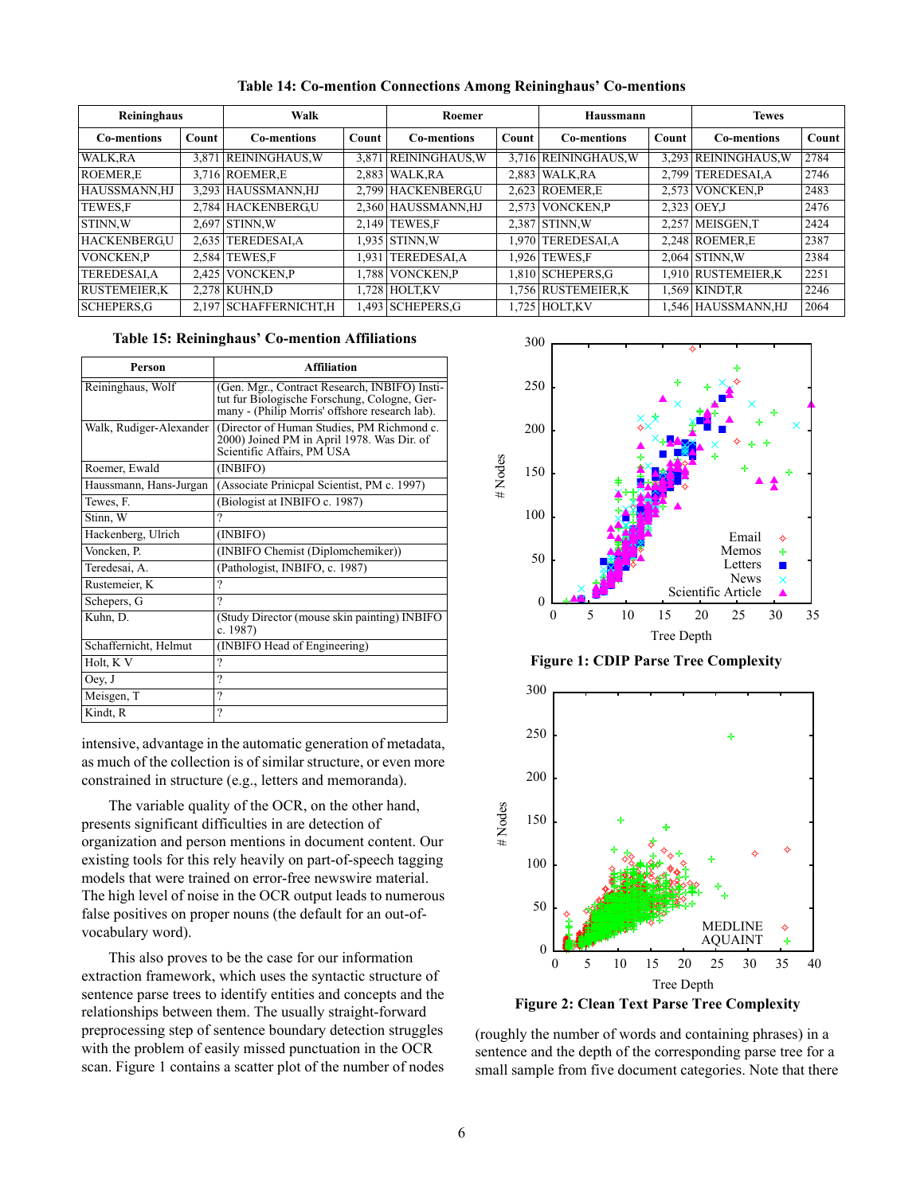<span id="page-5-0"></span>

| Reininghaus         |       | Walk                   |              | Roemer               |       | Haussmann            |       | <b>Tewes</b>         |       |
|---------------------|-------|------------------------|--------------|----------------------|-------|----------------------|-------|----------------------|-------|
| <b>Co-mentions</b>  | Count | <b>Co-mentions</b>     | <b>Count</b> | <b>Co-mentions</b>   | Count | <b>Co-mentions</b>   | Count | <b>Co-mentions</b>   | Count |
| WALK.RA             |       | 3,871 REININGHAUS, W   |              | 3,871 REININGHAUS, W |       | 3,716 REININGHAUS, W |       | 3,293 REININGHAUS, W | 2784  |
| <b>ROEMER.E</b>     |       | 3.716 ROEMER.E         |              | 2.883 WALK, RA       |       | 2.883 WALK.RA        |       | 2,799 TEREDESALA     | 2746  |
| HAUSSMANN,HJ        |       | 3,293 HAUSSMANN, HJ    |              | 2,799 HACKENBERGU    |       | 2,623 ROEMER,E       |       | 2,573 VONCKEN, P     | 2483  |
| <b>TEWES.F</b>      |       | 2,784 HACKENBERGU      |              | 2,360 HAUSSMANN, HJ  |       | 2,573 VONCKEN, P     |       | 2,323 OEY, J         | 2476  |
| STINN.W             |       | $2.697$ STINN.W        |              | 2.149 TEWES F        |       | 2.387 STINN.W        |       | 2.257 MEISGEN.T      | 2424  |
| <b>HACKENBERGU</b>  | 2.635 | <b>TEREDESAI, A</b>    |              | 1.935 STINN.W        |       | 1,970 TEREDESAI,A    |       | $2,248$ ROEMER, E    | 2387  |
| <b>VONCKEN.P</b>    | 2.584 | <b>TEWES,F</b>         | .931         | <b>TEREDESALA</b>    |       | 1.926 TEWES.F        |       | $2.064$ STINN.W      | 2384  |
| <b>TEREDESALA</b>   | 2,425 | <b>VONCKEN.P</b>       |              | .788 VONCKEN.P       |       | 1,810 SCHEPERS, G    |       | 1,910 RUSTEMEIER,K   | 2251  |
| <b>RUSTEMEIER.K</b> |       | 2.278 KUHN.D           |              | .728 HOLT.KV         |       | 1,756 RUSTEMEIER,K   |       | 1.569 KINDT.R        | 2246  |
| <b>SCHEPERS, G</b>  |       | 2,197 SCHAFFERNICHT, H |              | .493 SCHEPERS, G     |       | 1,725 HOLT, KV       |       | 1,546 HAUSSMANN,HJ   | 2064  |

**Table 14: Co-mention Connections Among Reininghaus' Co-mentions**

### **Table 15: Reininghaus' Co-mention Affiliations**

<span id="page-5-1"></span>

| Person                  | Affiliation                                                                                                                                     |
|-------------------------|-------------------------------------------------------------------------------------------------------------------------------------------------|
| Reininghaus, Wolf       | (Gen. Mgr., Contract Research, INBIFO) Insti-<br>tut fur Biologische Forschung, Cologne, Ger-<br>many - (Philip Morris' offshore research lab). |
| Walk, Rudiger-Alexander | (Director of Human Studies, PM Richmond c.<br>2000) Joined PM in April 1978. Was Dir. of<br>Scientific Affairs, PM USA                          |
| Roemer, Ewald           | (INBIFO)                                                                                                                                        |
| Haussmann, Hans-Jurgan  | (Associate Prinicpal Scientist, PM c. 1997)                                                                                                     |
| Tewes, F.               | (Biologist at INBIFO c. 1987)                                                                                                                   |
| Stinn, W                | 9                                                                                                                                               |
| Hackenberg, Ulrich      | (INBIFO)                                                                                                                                        |
| Voncken, P.             | (INBIFO Chemist (Diplomchemiker))                                                                                                               |
| Teredesai, A.           | (Pathologist, INBIFO, c. 1987)                                                                                                                  |
| Rustemeier, K           | ?                                                                                                                                               |
| Schepers, G             | $\gamma$                                                                                                                                        |
| Kuhn, D.                | (Study Director (mouse skin painting) INBIFO<br>c. $1987$                                                                                       |
| Schaffernicht, Helmut   | (INBIFO Head of Engineering)                                                                                                                    |
| Holt, K V               | $\gamma$                                                                                                                                        |
| Oey, J                  | ?                                                                                                                                               |
| Meisgen, T              | ?                                                                                                                                               |
| Kindt, R                | ?                                                                                                                                               |

intensive, advantage in the automatic generation of metadata, as much of the collection is of similar structure, or even more constrained in structure (e.g., letters and memoranda).

The variable quality of the OCR, on the other hand, presents significant difficulties in are detection of organization and person mentions in document content. Our existing tools for this rely heavily on part-of-speech tagging models that were trained on error-free newswire material. The high level of noise in the OCR output leads to numerous false positives on proper nouns (the default for an out-ofvocabulary word).

This also proves to be the case for our information extraction framework, which uses the syntactic structure of sentence parse trees to identify entities and concepts and the relationships between them. The usually straight-forward preprocessing step of sentence boundary detection struggles with the problem of easily missed punctuation in the OCR scan. Figure [1](#page-5-2) contains a scatter plot of the number of nodes



**Figure 1: CDIP Parse Tree Complexity**

<span id="page-5-2"></span>

<span id="page-5-3"></span>**Figure 2: Clean Text Parse Tree Complexity**

(roughly the number of words and containing phrases) in a sentence and the depth of the corresponding parse tree for a small sample from five document categories . Note that there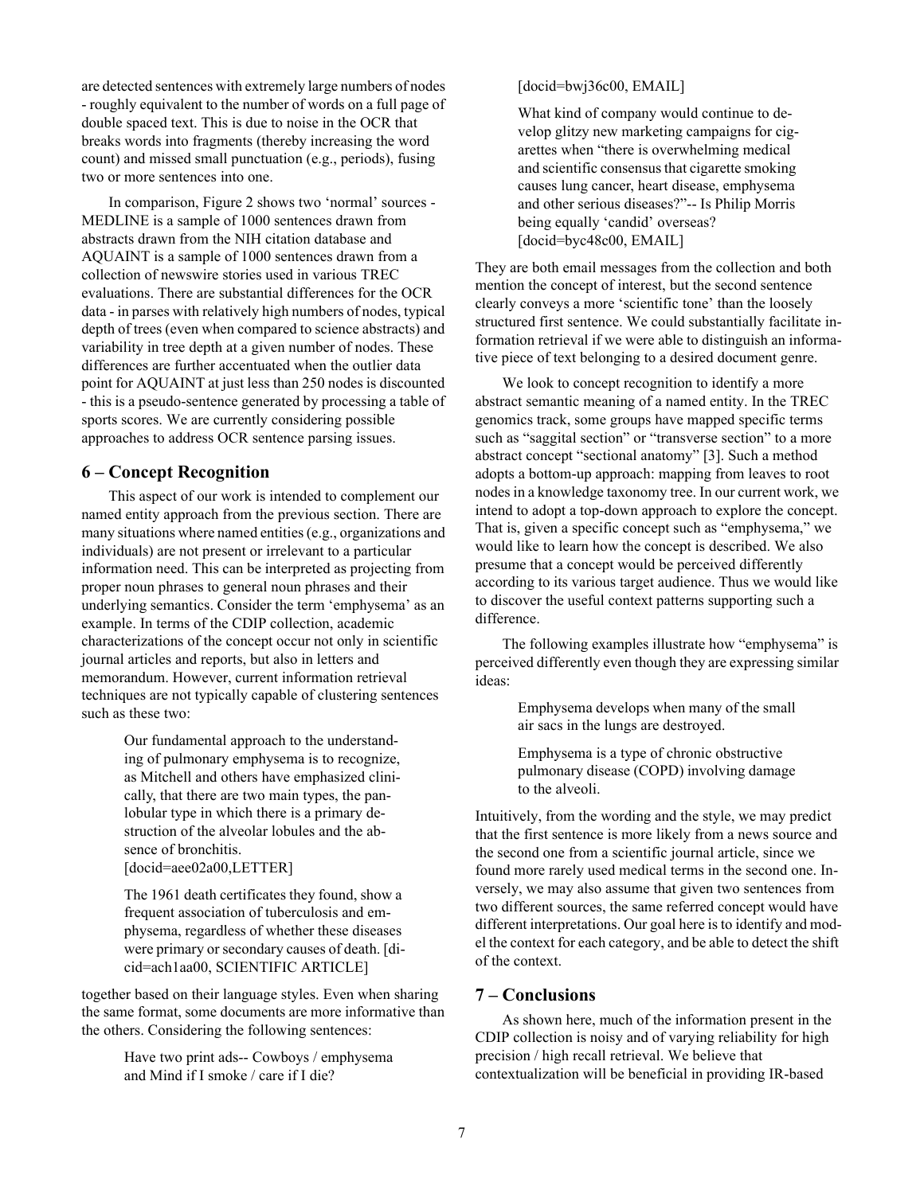are detected sentences with extremely large numbers of nodes - roughly equivalent to the number of words on a full page of double spaced text. This is due to noise in the OCR that breaks words into fragments (thereby increasing the word count) and missed small punctuation (e.g., periods), fusing two or more sentences into one.

In comparison, Figure [2](#page-5-3) shows two 'normal' sources - MEDLINE is a sample of 1000 sentences drawn from abstracts drawn from the NIH citation database and AQUAINT is a sample of 1000 sentences drawn from a collection of newswire stories used in various TREC evaluations. There are substantial differences for the OCR data - in parses with relatively high numbers of nodes, typical depth of trees (even when compared to science abstracts) and variability in tree depth at a given number of nodes. These differences are further accentuated when the outlier data point for AQUAINT at just less than 250 nodes is discounted - this is a pseudo-sentence generated by processing a table of sports scores. We are currently considering possible approaches to address OCR sentence parsing issues.

# **6 – Concept Recognition**

This aspect of our work is intended to complement our named entity approach from the previous section. There are many situations where named entities (e.g., organizations and individuals) are not present or irrelevant to a particular information need. This can be interpreted as projecting from proper noun phrases to general noun phrases and their underlying semantics. Consider the term 'emphysema' as an example. In terms of the CDIP collection, academic characterizations of the concept occur not only in scientific journal articles and reports, but also in letters and memorandum. However, current information retrieval techniques are not typically capable of clustering sentences such as these two:

> Our fundamental approach to the understanding of pulmonary emphysema is to recognize, as Mitchell and others have emphasized clinically, that there are two main types, the panlobular type in which there is a primary destruction of the alveolar lobules and the absence of bronchitis. [docid=aee02a00,LETTER]

The 1961 death certificates they found, show a frequent association of tuberculosis and emphysema, regardless of whether these diseases were primary or secondary causes of death. [dicid=ach1aa00, SCIENTIFIC ARTICLE]

together based on their language styles. Even when sharing the same format, some documents are more informative than the others. Considering the following sentences:

> Have two print ads-- Cowboys / emphysema and Mind if I smoke / care if I die?

## [docid=bwj36c00, EMAIL]

What kind of company would continue to develop glitzy new marketing campaigns for cigarettes when "there is overwhelming medical and scientific consensus that cigarette smoking causes lung cancer, heart disease, emphysema and other serious diseases?"-- Is Philip Morris being equally 'candid' overseas? [docid=byc48c00, EMAIL]

They are both email messages from the collection and both mention the concept of interest, but the second sentence clearly conveys a more 'scientific tone' than the loosely structured first sentence. We could substantially facilitate information retrieval if we were able to distinguish an informative piece of text belonging to a desired document genre.

We look to concept recognition to identify a more abstract semantic meaning of a named entity. In the TREC genomics track, some groups have mapped specific terms such as "saggital section" or "transverse section" to a more abstract concept "sectional anatomy" [\[3](#page-7-6)]. Such a method adopts a bottom-up approach: mapping from leaves to root nodes in a knowledge taxonomy tree. In our current work, we intend to adopt a top-down approach to explore the concept. That is, given a specific concept such as "emphysema," we would like to learn how the concept is described. We also presume that a concept would be perceived differently according to its various target audience. Thus we would like to discover the useful context patterns supporting such a difference.

The following examples illustrate how "emphysema" is perceived differently even though they are expressing similar ideas:

> Emphysema develops when many of the small air sacs in the lungs are destroyed.

> Emphysema is a type of chronic obstructive pulmonary disease (COPD) involving damage to the alveoli.

Intuitively, from the wording and the style, we may predict that the first sentence is more likely from a news source and the second one from a scientific journal article, since we found more rarely used medical terms in the second one. Inversely, we may also assume that given two sentences from two different sources, the same referred concept would have different interpretations. Our goal here is to identify and model the context for each category, and be able to detect the shift of the context.

# **7 – Conclusions**

As shown here, much of the information present in the CDIP collection is noisy and of varying reliability for high precision / high recall retrieval. We believe that contextualization will be beneficial in providing IR-based